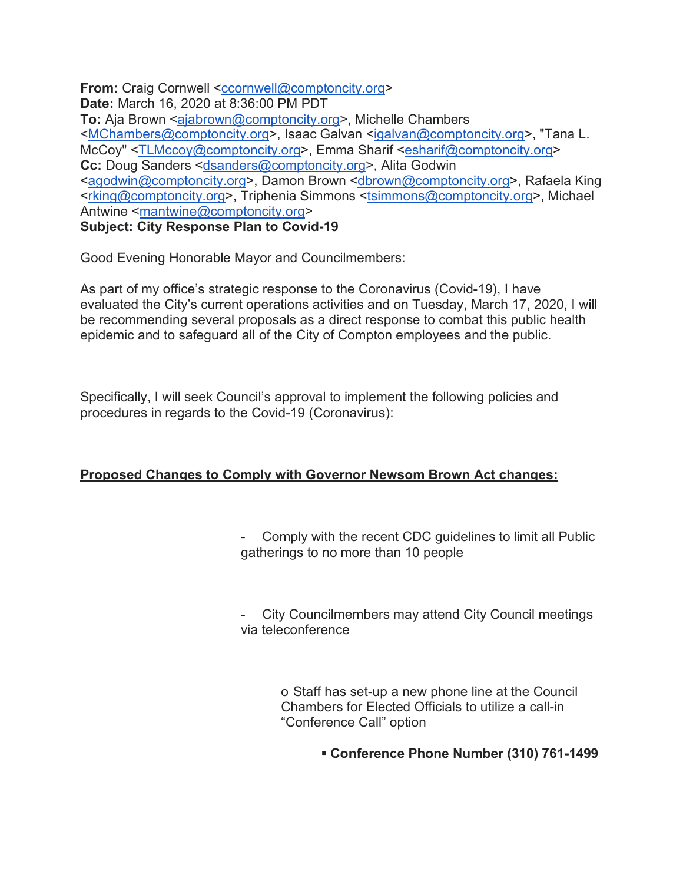**From:** Craig Cornwell <ccornwell@comptoncity.org> **Date:** March 16, 2020 at 8:36:00 PM PDT **To:** Aja Brown <ajabrown@comptoncity.org>, Michelle Chambers <MChambers@comptoncity.org>, Isaac Galvan <igalvan@comptoncity.org>, "Tana L. McCoy" <TLMccoy@comptoncity.org>, Emma Sharif <esharif@comptoncity.org> **Cc:** Doug Sanders <dsanders@comptoncity.org>, Alita Godwin <agodwin@comptoncity.org>, Damon Brown <dbrown@comptoncity.org>, Rafaela King <rking@comptoncity.org>, Triphenia Simmons <tsimmons@comptoncity.org>, Michael Antwine <mantwine@comptoncity.org> **Subject: City Response Plan to Covid-19**

Good Evening Honorable Mayor and Councilmembers:

As part of my office's strategic response to the Coronavirus (Covid-19), I have evaluated the City's current operations activities and on Tuesday, March 17, 2020, I will be recommending several proposals as a direct response to combat this public health epidemic and to safeguard all of the City of Compton employees and the public.

Specifically, I will seek Council's approval to implement the following policies and procedures in regards to the Covid-19 (Coronavirus):

## **Proposed Changes to Comply with Governor Newsom Brown Act changes:**

- Comply with the recent CDC guidelines to limit all Public gatherings to no more than 10 people

City Councilmembers may attend City Council meetings via teleconference

> o Staff has set-up a new phone line at the Council Chambers for Elected Officials to utilize a call-in "Conference Call" option

> > § **Conference Phone Number (310) 761-1499**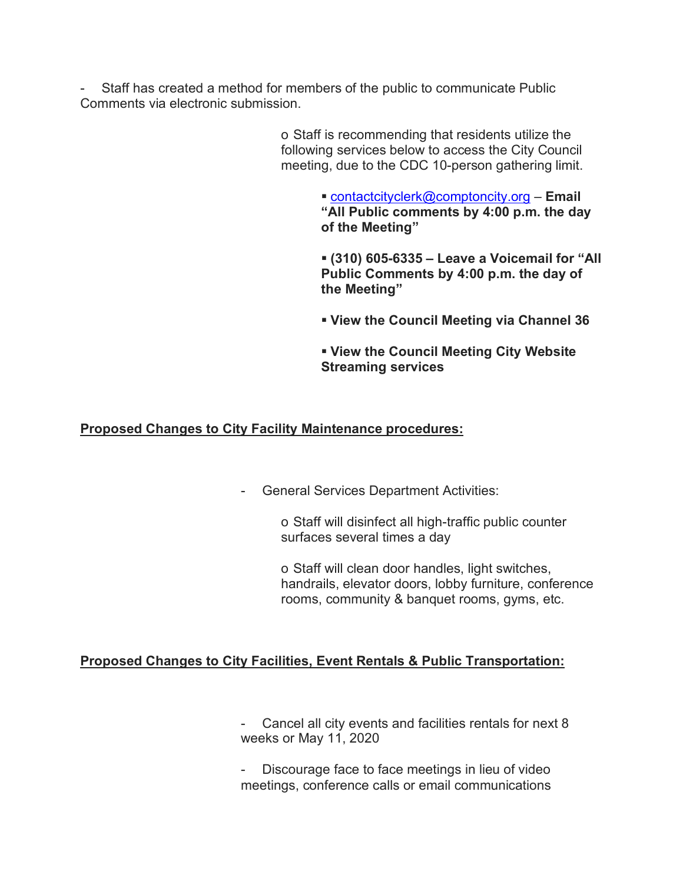Staff has created a method for members of the public to communicate Public Comments via electronic submission.

> o Staff is recommending that residents utilize the following services below to access the City Council meeting, due to the CDC 10-person gathering limit.

> > ■ contactcityclerk@comptoncity.org – **Email "All Public comments by 4:00 p.m. the day of the Meeting"**

§ **(310) 605-6335 – Leave a Voicemail for "All Public Comments by 4:00 p.m. the day of the Meeting"**

§ **View the Council Meeting via Channel 36**

§ **View the Council Meeting City Website Streaming services**

### **Proposed Changes to City Facility Maintenance procedures:**

- General Services Department Activities:

o Staff will disinfect all high-traffic public counter surfaces several times a day

o Staff will clean door handles, light switches, handrails, elevator doors, lobby furniture, conference rooms, community & banquet rooms, gyms, etc.

### **Proposed Changes to City Facilities, Event Rentals & Public Transportation:**

Cancel all city events and facilities rentals for next 8 weeks or May 11, 2020

Discourage face to face meetings in lieu of video meetings, conference calls or email communications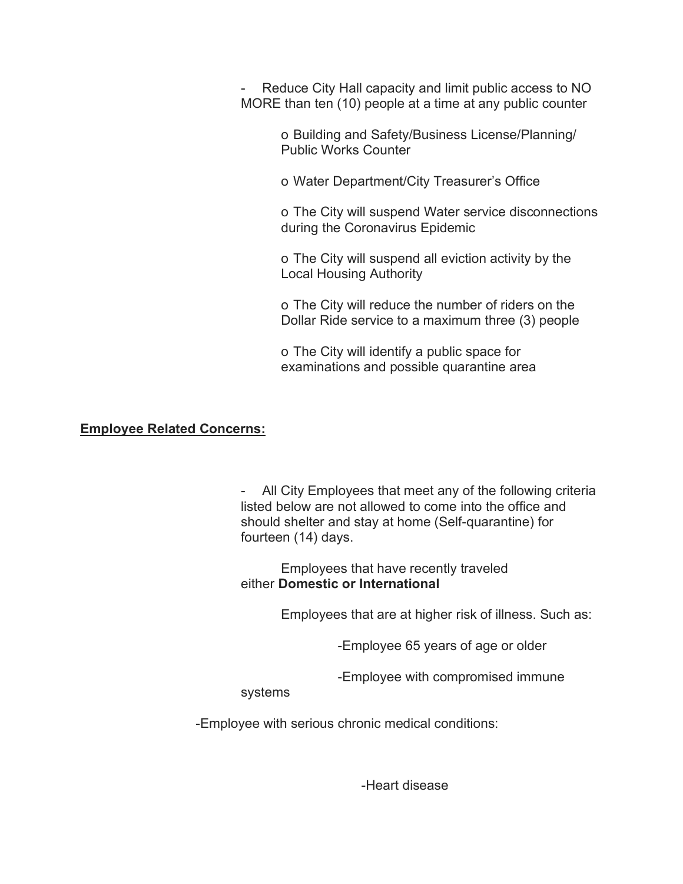Reduce City Hall capacity and limit public access to NO MORE than ten (10) people at a time at any public counter

> o Building and Safety/Business License/Planning/ Public Works Counter

o Water Department/City Treasurer's Office

o The City will suspend Water service disconnections during the Coronavirus Epidemic

o The City will suspend all eviction activity by the Local Housing Authority

o The City will reduce the number of riders on the Dollar Ride service to a maximum three (3) people

o The City will identify a public space for examinations and possible quarantine area

#### **Employee Related Concerns:**

All City Employees that meet any of the following criteria listed below are not allowed to come into the office and should shelter and stay at home (Self-quarantine) for fourteen (14) days.

Employees that have recently traveled either **Domestic or International**

Employees that are at higher risk of illness. Such as:

-Employee 65 years of age or older

-Employee with compromised immune

systems

-Employee with serious chronic medical conditions:

-Heart disease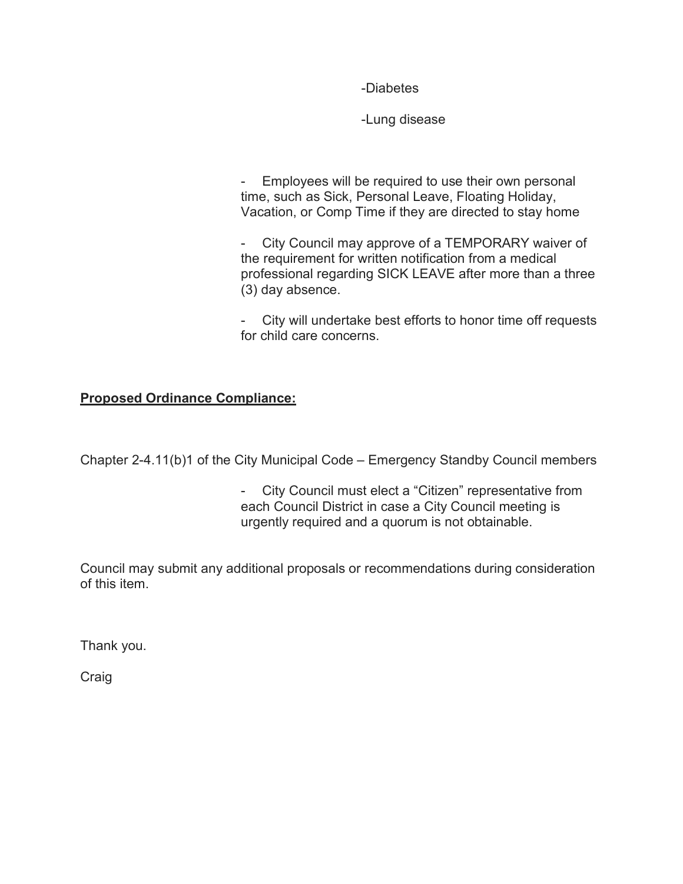-Diabetes

-Lung disease

- Employees will be required to use their own personal time, such as Sick, Personal Leave, Floating Holiday, Vacation, or Comp Time if they are directed to stay home

- City Council may approve of a TEMPORARY waiver of the requirement for written notification from a medical professional regarding SICK LEAVE after more than a three (3) day absence.

City will undertake best efforts to honor time off requests for child care concerns.

# **Proposed Ordinance Compliance:**

Chapter 2-4.11(b)1 of the City Municipal Code – Emergency Standby Council members

- City Council must elect a "Citizen" representative from each Council District in case a City Council meeting is urgently required and a quorum is not obtainable.

Council may submit any additional proposals or recommendations during consideration of this item.

Thank you.

**Craig**